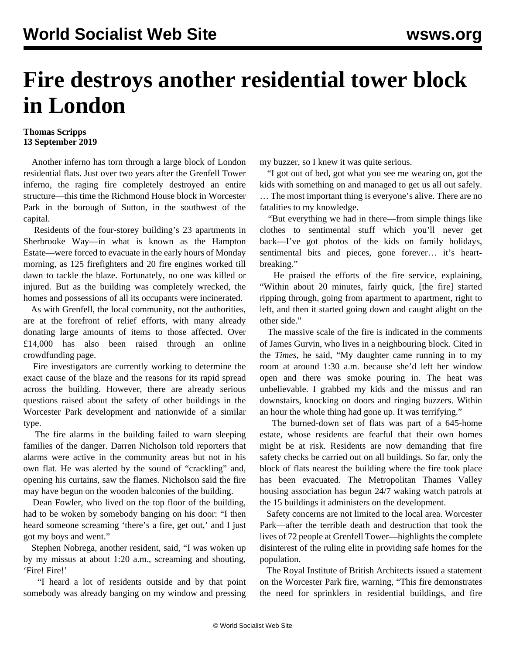## **Fire destroys another residential tower block in London**

## **Thomas Scripps 13 September 2019**

 Another inferno has torn through a large block of London residential flats. Just over two years after the Grenfell Tower inferno, the raging fire completely destroyed an entire structure—this time the Richmond House block in Worcester Park in the borough of Sutton, in the southwest of the capital.

 Residents of the four-storey building's 23 apartments in Sherbrooke Way—in what is known as the Hampton Estate—were forced to evacuate in the early hours of Monday morning, as 125 firefighters and 20 fire engines worked till dawn to tackle the blaze. Fortunately, no one was killed or injured. But as the building was completely wrecked, the homes and possessions of all its occupants were incinerated.

 As with Grenfell, the local community, not the authorities, are at the forefront of relief efforts, with many already donating large amounts of items to those affected. Over £14,000 has also been raised through an online crowdfunding page.

 Fire investigators are currently working to determine the exact cause of the blaze and the reasons for its rapid spread across the building. However, there are already serious questions raised about the safety of other buildings in the Worcester Park development and nationwide of a similar type.

 The fire alarms in the building failed to warn sleeping families of the danger. Darren Nicholson told reporters that alarms were active in the community areas but not in his own flat. He was alerted by the sound of "crackling" and, opening his curtains, saw the flames. Nicholson said the fire may have begun on the wooden balconies of the building.

 Dean Fowler, who lived on the top floor of the building, had to be woken by somebody banging on his door: "I then heard someone screaming 'there's a fire, get out,' and I just got my boys and went."

 Stephen Nobrega, another resident, said, "I was woken up by my missus at about 1:20 a.m., screaming and shouting, 'Fire! Fire!'

 "I heard a lot of residents outside and by that point somebody was already banging on my window and pressing my buzzer, so I knew it was quite serious.

 "I got out of bed, got what you see me wearing on, got the kids with something on and managed to get us all out safely. … The most important thing is everyone's alive. There are no fatalities to my knowledge.

 "But everything we had in there—from simple things like clothes to sentimental stuff which you'll never get back—I've got photos of the kids on family holidays, sentimental bits and pieces, gone forever... it's heartbreaking."

 He praised the efforts of the fire service, explaining, "Within about 20 minutes, fairly quick, [the fire] started ripping through, going from apartment to apartment, right to left, and then it started going down and caught alight on the other side."

 The massive scale of the fire is indicated in the comments of James Gurvin, who lives in a neighbouring block. Cited in the *Times*, he said, "My daughter came running in to my room at around 1:30 a.m. because she'd left her window open and there was smoke pouring in. The heat was unbelievable. I grabbed my kids and the missus and ran downstairs, knocking on doors and ringing buzzers. Within an hour the whole thing had gone up. It was terrifying."

 The burned-down set of flats was part of a 645-home estate, whose residents are fearful that their own homes might be at risk. Residents are now demanding that fire safety checks be carried out on all buildings. So far, only the block of flats nearest the building where the fire took place has been evacuated. The Metropolitan Thames Valley housing association has begun 24/7 waking watch patrols at the 15 buildings it administers on the development.

 Safety concerns are not limited to the local area. Worcester Park—after the terrible death and destruction that took the lives of 72 people at Grenfell Tower—highlights the complete disinterest of the ruling elite in providing safe homes for the population.

 The Royal Institute of British Architects issued a statement on the Worcester Park fire, warning, "This fire demonstrates the need for sprinklers in residential buildings, and fire